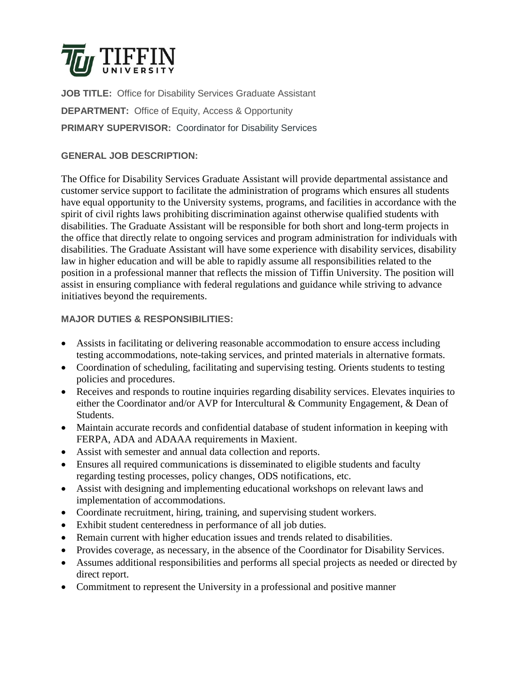

**JOB TITLE:** Office for Disability Services Graduate Assistant **DEPARTMENT:** Office of Equity, Access & Opportunity **PRIMARY SUPERVISOR:** Coordinator for Disability Services

# **GENERAL JOB DESCRIPTION:**

The Office for Disability Services Graduate Assistant will provide departmental assistance and customer service support to facilitate the administration of programs which ensures all students have equal opportunity to the University systems, programs, and facilities in accordance with the spirit of civil rights laws prohibiting discrimination against otherwise qualified students with disabilities. The Graduate Assistant will be responsible for both short and long-term projects in the office that directly relate to ongoing services and program administration for individuals with disabilities. The Graduate Assistant will have some experience with disability services, disability law in higher education and will be able to rapidly assume all responsibilities related to the position in a professional manner that reflects the mission of Tiffin University. The position will assist in ensuring compliance with federal regulations and guidance while striving to advance initiatives beyond the requirements.

# **MAJOR DUTIES & RESPONSIBILITIES:**

- Assists in facilitating or delivering reasonable accommodation to ensure access including testing accommodations, note-taking services, and printed materials in alternative formats.
- Coordination of scheduling, facilitating and supervising testing. Orients students to testing policies and procedures.
- Receives and responds to routine inquiries regarding disability services. Elevates inquiries to either the Coordinator and/or AVP for Intercultural & Community Engagement, & Dean of Students.
- Maintain accurate records and confidential database of student information in keeping with FERPA, ADA and ADAAA requirements in Maxient.
- Assist with semester and annual data collection and reports.
- Ensures all required communications is disseminated to eligible students and faculty regarding testing processes, policy changes, ODS notifications, etc.
- Assist with designing and implementing educational workshops on relevant laws and implementation of accommodations.
- Coordinate recruitment, hiring, training, and supervising student workers.
- Exhibit student centeredness in performance of all job duties.
- Remain current with higher education issues and trends related to disabilities.
- Provides coverage, as necessary, in the absence of the Coordinator for Disability Services.
- Assumes additional responsibilities and performs all special projects as needed or directed by direct report.
- Commitment to represent the University in a professional and positive manner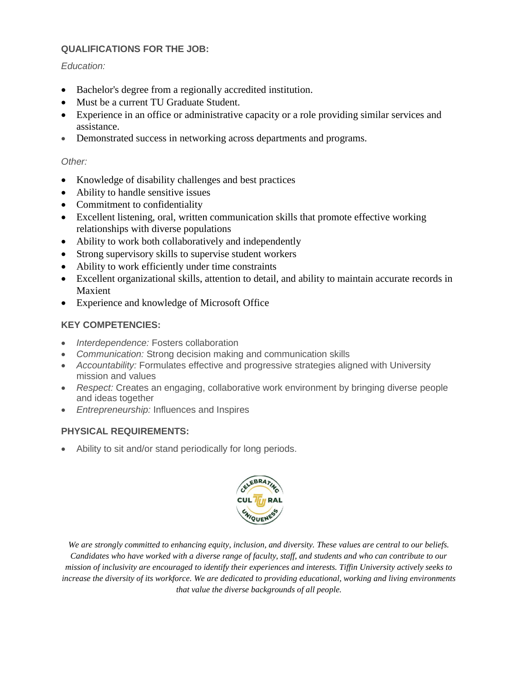### **QUALIFICATIONS FOR THE JOB:**

#### *Education:*

- Bachelor's degree from a regionally accredited institution.
- Must be a current TU Graduate Student.
- Experience in an office or administrative capacity or a role providing similar services and assistance.
- Demonstrated success in networking across departments and programs.

### *Other:*

- Knowledge of disability challenges and best practices
- Ability to handle sensitive issues
- Commitment to confidentiality
- Excellent listening, oral, written communication skills that promote effective working relationships with diverse populations
- Ability to work both collaboratively and independently
- Strong supervisory skills to supervise student workers
- Ability to work efficiently under time constraints
- Excellent organizational skills, attention to detail, and ability to maintain accurate records in Maxient
- Experience and knowledge of Microsoft Office

# **KEY COMPETENCIES:**

- *Interdependence:* Fosters collaboration
- *Communication:* Strong decision making and communication skills
- *Accountability:* Formulates effective and progressive strategies aligned with University mission and values
- *Respect:* Creates an engaging, collaborative work environment by bringing diverse people and ideas together
- *Entrepreneurship:* Influences and Inspires

# **PHYSICAL REQUIREMENTS:**

Ability to sit and/or stand periodically for long periods.



*We are strongly committed to enhancing equity, inclusion, and diversity. These values are central to our beliefs. Candidates who have worked with a diverse range of faculty, staff, and students and who can contribute to our mission of inclusivity are encouraged to identify their experiences and interests. Tiffin University actively seeks to increase the diversity of its workforce. We are dedicated to providing educational, working and living environments that value the diverse backgrounds of all people.*